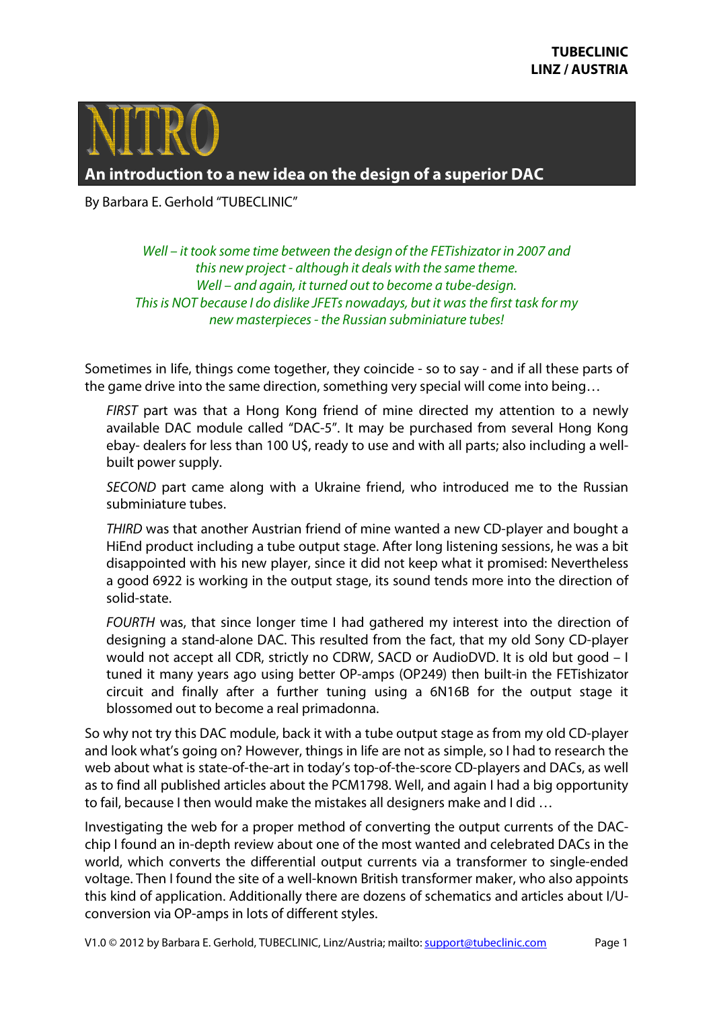

**An introduction to a new idea on the design of a superior DAC** 

By Barbara E. Gerhold "TUBECLINIC"

*Well – it took some time between the design of the FETishizator in 2007 and this new project - although it deals with the same theme. Well – and again, it turned out to become a tube-design. This is NOT because I do dislike JFETs nowadays, but it was the first task for my new masterpieces - the Russian subminiature tubes!* 

Sometimes in life, things come together, they coincide - so to say - and if all these parts of the game drive into the same direction, something very special will come into being…

*FIRST* part was that a Hong Kong friend of mine directed my attention to a newly available DAC module called "DAC-5". It may be purchased from several Hong Kong ebay- dealers for less than 100 U\$, ready to use and with all parts; also including a wellbuilt power supply.

*SECOND* part came along with a Ukraine friend, who introduced me to the Russian subminiature tubes.

*THIRD* was that another Austrian friend of mine wanted a new CD-player and bought a HiEnd product including a tube output stage. After long listening sessions, he was a bit disappointed with his new player, since it did not keep what it promised: Nevertheless a good 6922 is working in the output stage, its sound tends more into the direction of solid-state.

*FOURTH* was, that since longer time I had gathered my interest into the direction of designing a stand-alone DAC. This resulted from the fact, that my old Sony CD-player would not accept all CDR, strictly no CDRW, SACD or AudioDVD. It is old but good – I tuned it many years ago using better OP-amps (OP249) then built-in the FETishizator circuit and finally after a further tuning using a 6N16B for the output stage it blossomed out to become a real primadonna.

So why not try this DAC module, back it with a tube output stage as from my old CD-player and look what's going on? However, things in life are not as simple, so I had to research the web about what is state-of-the-art in today's top-of-the-score CD-players and DACs, as well as to find all published articles about the PCM1798. Well, and again I had a big opportunity to fail, because I then would make the mistakes all designers make and I did …

Investigating the web for a proper method of converting the output currents of the DACchip I found an in-depth review about one of the most wanted and celebrated DACs in the world, which converts the differential output currents via a transformer to single-ended voltage. Then I found the site of a well-known British transformer maker, who also appoints this kind of application. Additionally there are dozens of schematics and articles about I/Uconversion via OP-amps in lots of different styles.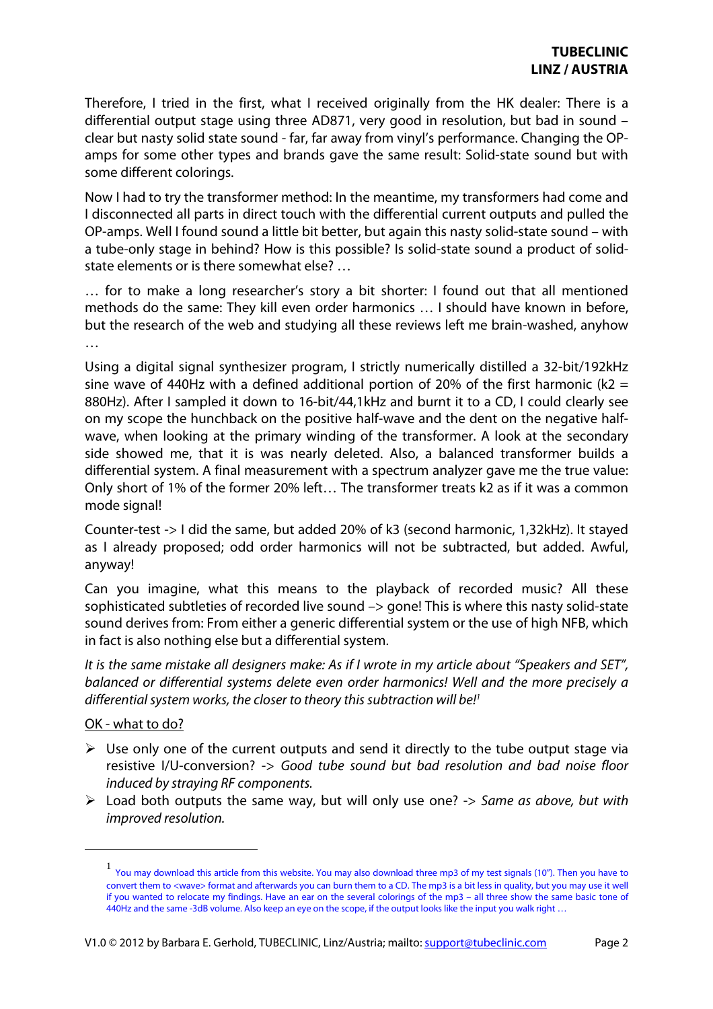Therefore, I tried in the first, what I received originally from the HK dealer: There is a differential output stage using three AD871, very good in resolution, but bad in sound – clear but nasty solid state sound - far, far away from vinyl's performance. Changing the OPamps for some other types and brands gave the same result: Solid-state sound but with some different colorings.

Now I had to try the transformer method: In the meantime, my transformers had come and I disconnected all parts in direct touch with the differential current outputs and pulled the OP-amps. Well I found sound a little bit better, but again this nasty solid-state sound – with a tube-only stage in behind? How is this possible? Is solid-state sound a product of solidstate elements or is there somewhat else? …

… for to make a long researcher's story a bit shorter: I found out that all mentioned methods do the same: They kill even order harmonics … I should have known in before, but the research of the web and studying all these reviews left me brain-washed, anyhow …

Using a digital signal synthesizer program, I strictly numerically distilled a 32-bit/192kHz sine wave of 440Hz with a defined additional portion of 20% of the first harmonic ( $k2 =$ 880Hz). After I sampled it down to 16-bit/44,1kHz and burnt it to a CD, I could clearly see on my scope the hunchback on the positive half-wave and the dent on the negative halfwave, when looking at the primary winding of the transformer. A look at the secondary side showed me, that it is was nearly deleted. Also, a balanced transformer builds a differential system. A final measurement with a spectrum analyzer gave me the true value: Only short of 1% of the former 20% left… The transformer treats k2 as if it was a common mode signal!

Counter-test -> I did the same, but added 20% of k3 (second harmonic, 1,32kHz). It stayed as I already proposed; odd order harmonics will not be subtracted, but added. Awful, anyway!

Can you imagine, what this means to the playback of recorded music? All these sophisticated subtleties of recorded live sound -> gone! This is where this nasty solid-state sound derives from: From either a generic differential system or the use of high NFB, which in fact is also nothing else but a differential system.

*It is the same mistake all designers make: As if I wrote in my article about "Speakers and SET", balanced or differential systems delete even order harmonics! Well and the more precisely a differential system works, the closer to theory this subtraction will be!<sup>1</sup>*

## OK - what to do?

 $\overline{a}$ 

- $\triangleright$  Use only one of the current outputs and send it directly to the tube output stage via resistive I/U-conversion? -> *Good tube sound but bad resolution and bad noise floor induced by straying RF components.*
- Load both outputs the same way, but will only use one? -> *Same as above, but with improved resolution.*

<sup>1</sup> You may download this article from this website. You may also download three mp3 of my test signals (10"). Then you have to convert them to <wave> format and afterwards you can burn them to a CD. The mp3 is a bit less in quality, but you may use it well if you wanted to relocate my findings. Have an ear on the several colorings of the mp3 – all three show the same basic tone of 440Hz and the same -3dB volume. Also keep an eye on the scope, if the output looks like the input you walk right …